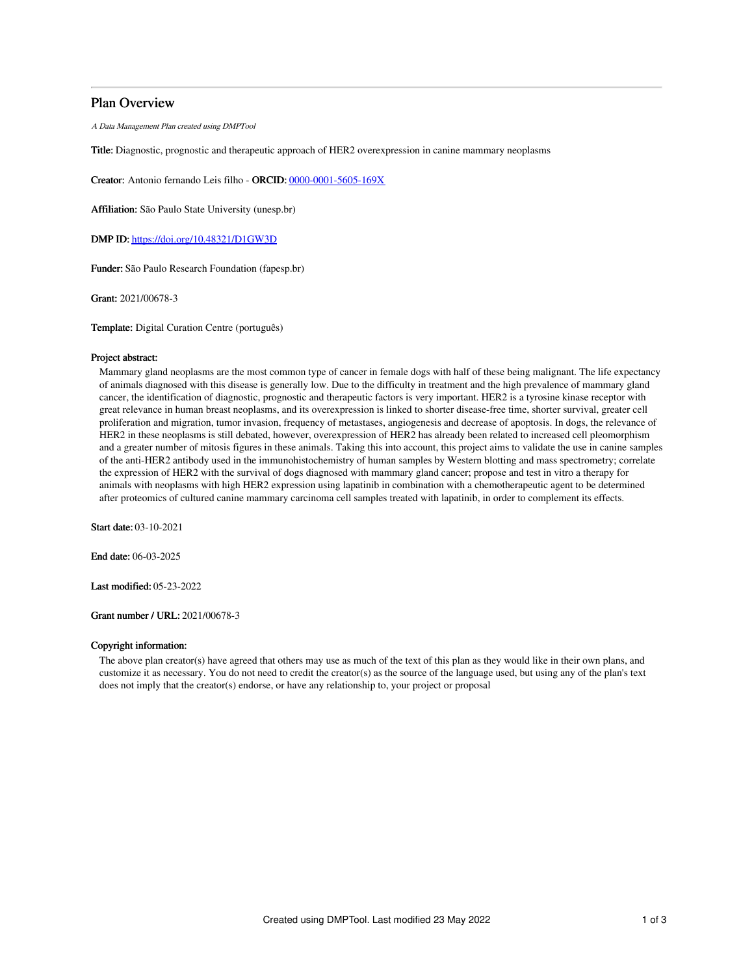# Plan Overview

A Data Management Plan created using DMPTool

Title: Diagnostic, prognostic and therapeutic approach of HER2 overexpression in canine mammary neoplasms

Creator: Antonio fernando Leis filho - ORCID: [0000-0001-5605-169X](https://orcid.org/0000-0001-5605-169X)

Affiliation: São Paulo State University (unesp.br)

DMP ID: <https://doi.org/10.48321/D1GW3D>

Funder: São Paulo Research Foundation (fapesp.br)

Grant: 2021/00678-3

Template: Digital Curation Centre (português)

## Project abstract:

Mammary gland neoplasms are the most common type of cancer in female dogs with half of these being malignant. The life expectancy of animals diagnosed with this disease is generally low. Due to the difficulty in treatment and the high prevalence of mammary gland cancer, the identification of diagnostic, prognostic and therapeutic factors is very important. HER2 is a tyrosine kinase receptor with great relevance in human breast neoplasms, and its overexpression is linked to shorter disease-free time, shorter survival, greater cell proliferation and migration, tumor invasion, frequency of metastases, angiogenesis and decrease of apoptosis. In dogs, the relevance of HER2 in these neoplasms is still debated, however, overexpression of HER2 has already been related to increased cell pleomorphism and a greater number of mitosis figures in these animals. Taking this into account, this project aims to validate the use in canine samples of the anti-HER2 antibody used in the immunohistochemistry of human samples by Western blotting and mass spectrometry; correlate the expression of HER2 with the survival of dogs diagnosed with mammary gland cancer; propose and test in vitro a therapy for animals with neoplasms with high HER2 expression using lapatinib in combination with a chemotherapeutic agent to be determined after proteomics of cultured canine mammary carcinoma cell samples treated with lapatinib, in order to complement its effects.

Start date: 03-10-2021

End date: 06-03-2025

Last modified: 05-23-2022

Grant number / URL: 2021/00678-3

#### Copyright information:

The above plan creator(s) have agreed that others may use as much of the text of this plan as they would like in their own plans, and customize it as necessary. You do not need to credit the creator(s) as the source of the language used, but using any of the plan's text does not imply that the creator(s) endorse, or have any relationship to, your project or proposal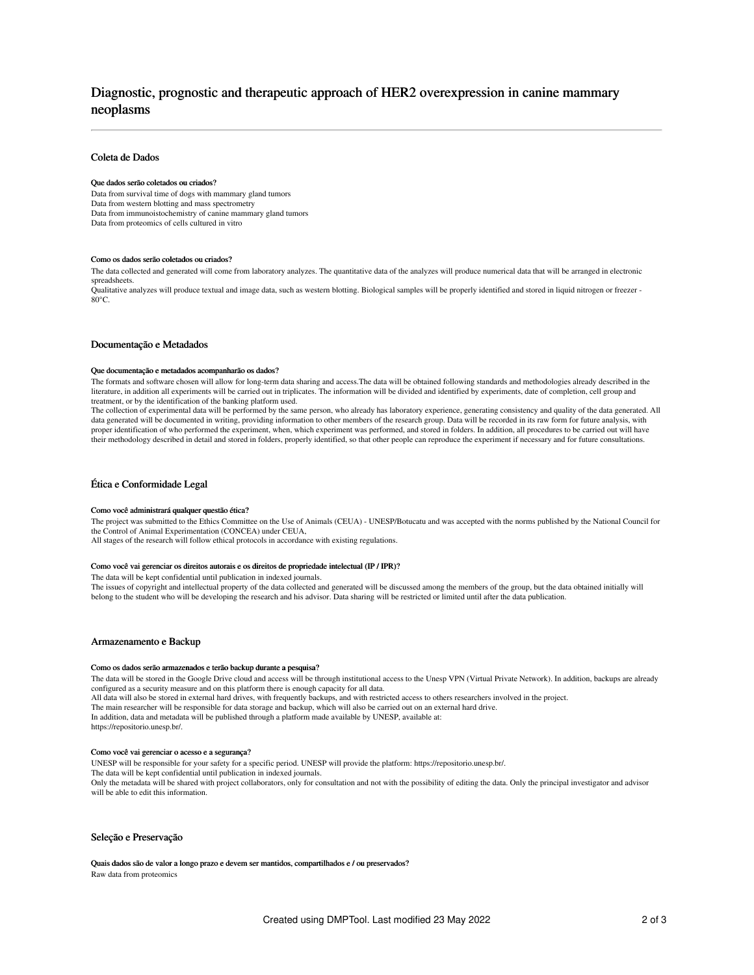# Diagnostic, prognostic and therapeutic approach of HER2 overexpression in canine mammary neoplasms

# Coleta de Dados

#### Que dados serão coletados ou criados?

Data from survival time of dogs with mammary gland tumors Data from western blotting and mass spectrometry Data from immunoistochemistry of canine mammary gland tumors Data from proteomics of cells cultured in vitro

#### Como os dados serão coletados ou criados?

The data collected and generated will come from laboratory analyzes. The quantitative data of the analyzes will produce numerical data that will be arranged in electronic spreadsheets.

Qualitative analyzes will produce textual and image data, such as western blotting. Biological samples will be properly identified and stored in liquid nitrogen or freezer - 80°C.

## Documentação e Metadados

#### Que documentação e metadados acompanharão os dados?

The formats and software chosen will allow for long-term data sharing and access.The data will be obtained following standards and methodologies already described in the literature, in addition all experiments will be carried out in triplicates. The information will be divided and identified by experiments, date of completion, cell group and treatment, or by the identification of the banking platform used.

The collection of experimental data will be performed by the same person, who already has laboratory experience, generating consistency and quality of the data generated. All data generated will be documented in writing, providing information to other members of the research group. Data will be recorded in its raw form for future analysis, with proper identification of who performed the experiment, when, which experiment was performed, and stored in folders. In addition, all procedures to be carried out will have their methodology described in detail and stored in folders, properly identified, so that other people can reproduce the experiment if necessary and for future consultations.

#### Ética e Conformidade Legal

#### Como você administrará qualquer questão ética?

The project was submitted to the Ethics Committee on the Use of Animals (CEUA) - UNESP/Botucatu and was accepted with the norms published by the National Council for the Control of Animal Experimentation (CONCEA) under CEUA,

All stages of the research will follow ethical protocols in accordance with existing regulations.

#### Como você vai gerenciar os direitos autorais e os direitos de propriedade intelectual (IP / IPR)?

The data will be kept confidential until publication in indexed journals.

The issues of copyright and intellectual property of the data collected and generated will be discussed among the members of the group, but the data obtained initially will belong to the student who will be developing the research and his advisor. Data sharing will be restricted or limited until after the data publication.

## Armazenamento e Backup

# Como os dados serão armazenados e terão backup durante a pesquisa?

The data will be stored in the Google Drive cloud and access will be through institutional access to the Unesp VPN (Virtual Private Network). In addition, backups are already configured as a security measure and on this platform there is enough capacity for all data. All data will also be stored in external hard drives, with frequently backups, and with restricted access to others researchers involved in the project. The main researcher will be responsible for data storage and backup, which will also be carried out on an external hard drive. In addition, data and metadata will be published through a platform made available by UNESP, available at: https://repositorio.unesp.br/.

#### Como você vai gerenciar o acesso e a segurança?

UNESP will be responsible for your safety for a specific period. UNESP will provide the platform: https://repositorio.unesp.br/.

The data will be kept confidential until publication in indexed journals.

Only the metadata will be shared with project collaborators, only for consultation and not with the possibility of editing the data. Only the principal investigator and advisor will be able to edit this information.

## Seleção e Preservação

Quais dados são de valor a longo prazo e devem ser mantidos, compartilhados e / ou preservados? Raw data from proteomics